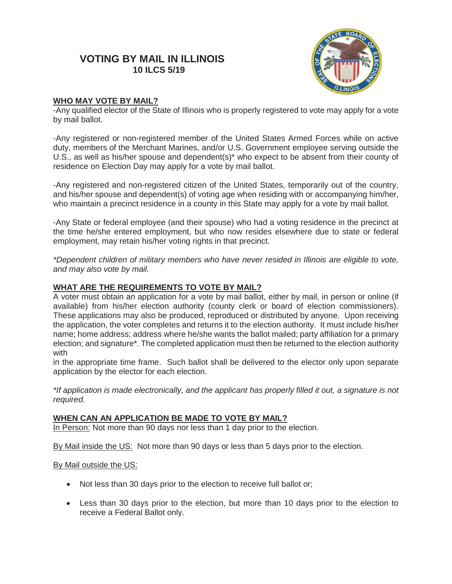# **VOTING BY MAIL IN ILLINOIS 10 ILCS 5/19**



# **WHO MAY VOTE BY MAIL?**

-Any qualified elector of the State of Illinois who is properly registered to vote may apply for a vote by mail ballot.

-Any registered or non-registered member of the United States Armed Forces while on active duty, members of the Merchant Marines, and/or U.S. Government employee serving outside the U.S., as well as his/her spouse and dependent(s)\* who expect to be absent from their county of residence on Election Day may apply for a vote by mail ballot.

-Any registered and non-registered citizen of the United States, temporarily out of the country, and his/her spouse and dependent(s) of voting age when residing with or accompanying him/her, who maintain a precinct residence in a county in this State may apply for a vote by mail ballot.

-Any State or federal employee (and their spouse) who had a voting residence in the precinct at the time he/she entered employment, but who now resides elsewhere due to state or federal employment, may retain his/her voting rights in that precinct.

*\*Dependent children of military members who have never resided in Illinois are eligible to vote, and may also vote by mail.* 

## **WHAT ARE THE REQUIREMENTS TO VOTE BY MAIL?**

A voter must obtain an application for a vote by mail ballot, either by mail, in person or online (if available) from his/her election authority (county clerk or board of election commissioners). These applications may also be produced, reproduced or distributed by anyone. Upon receiving the application, the voter completes and returns it to the election authority. It must include his/her name; home address; address where he/she wants the ballot mailed; party affiliation for a primary election; and signature\*. The completed application must then be returned to the election authority with

in the appropriate time frame. Such ballot shall be delivered to the elector only upon separate application by the elector for each election.

*\*If application is made electronically, and the applicant has properly filled it out, a signature is not required.* 

### **WHEN CAN AN APPLICATION BE MADE TO VOTE BY MAIL?**

In Person: Not more than 90 days nor less than 1 day prior to the election.

By Mail inside the US: Not more than 90 days or less than 5 days prior to the election.

#### By Mail outside the US:

- Not less than 30 days prior to the election to receive full ballot or;
- Less than 30 days prior to the election, but more than 10 days prior to the election to receive a Federal Ballot only.